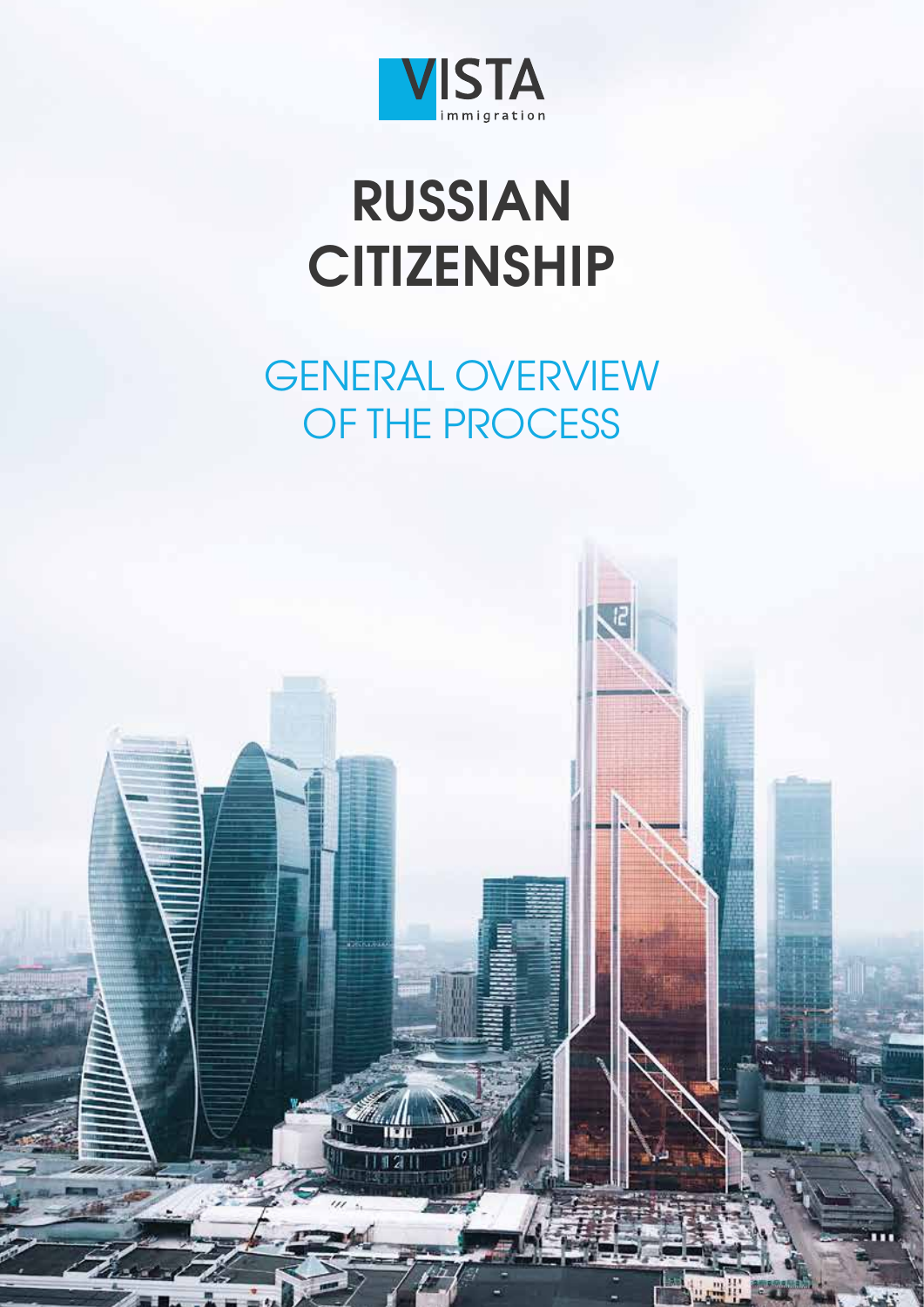

# **RUSSIAN CITIZENSHIP**

# GENERAL OVERVIEW OF THE PROCESS

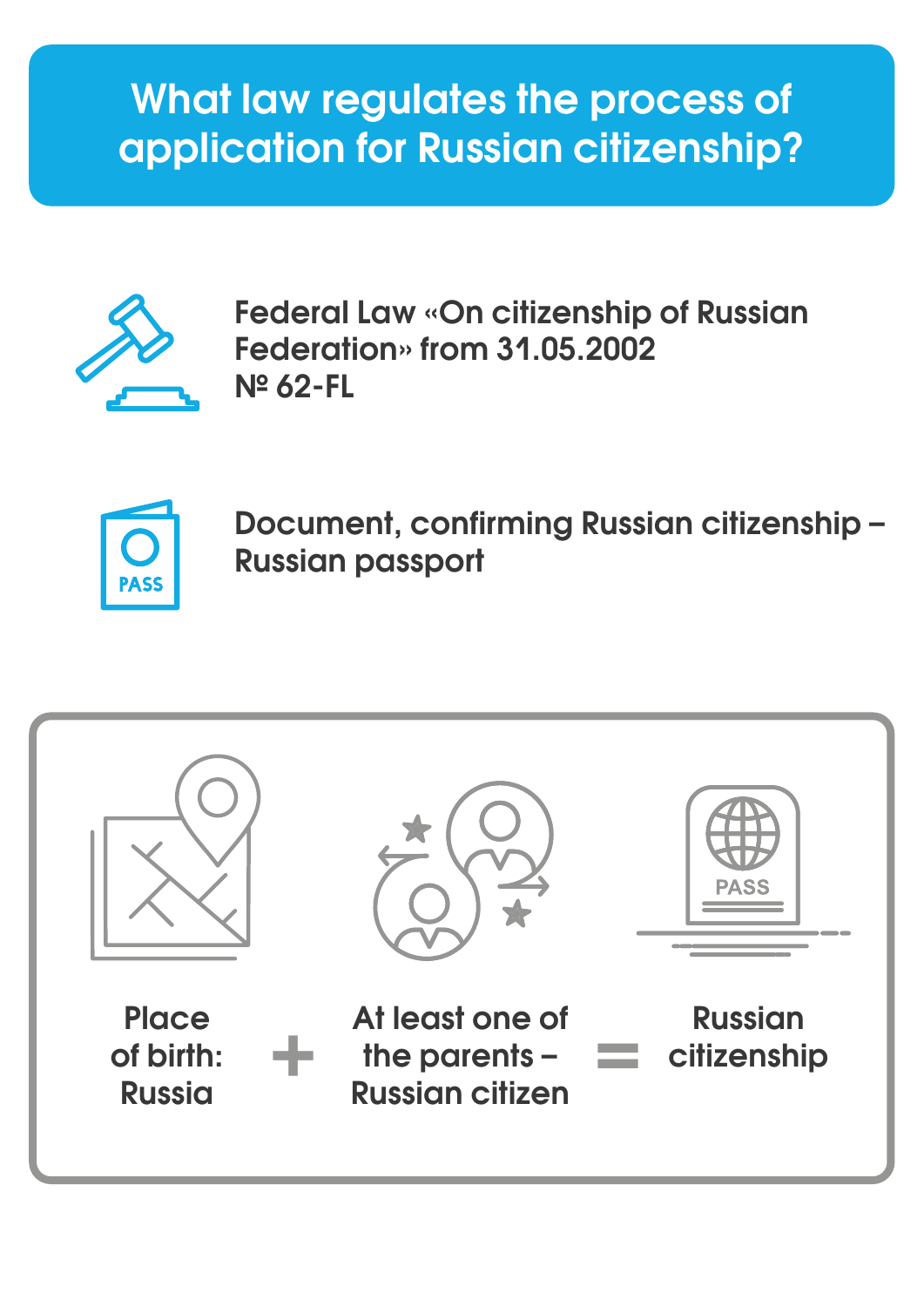# **What law regulates the process of application for Russian citizenship?**



**Federal Law «On citizenship of Russian Federation» from 31.05.2002 № 62-FL**



**Document, confirming Russian citizenship – Russian passport** 

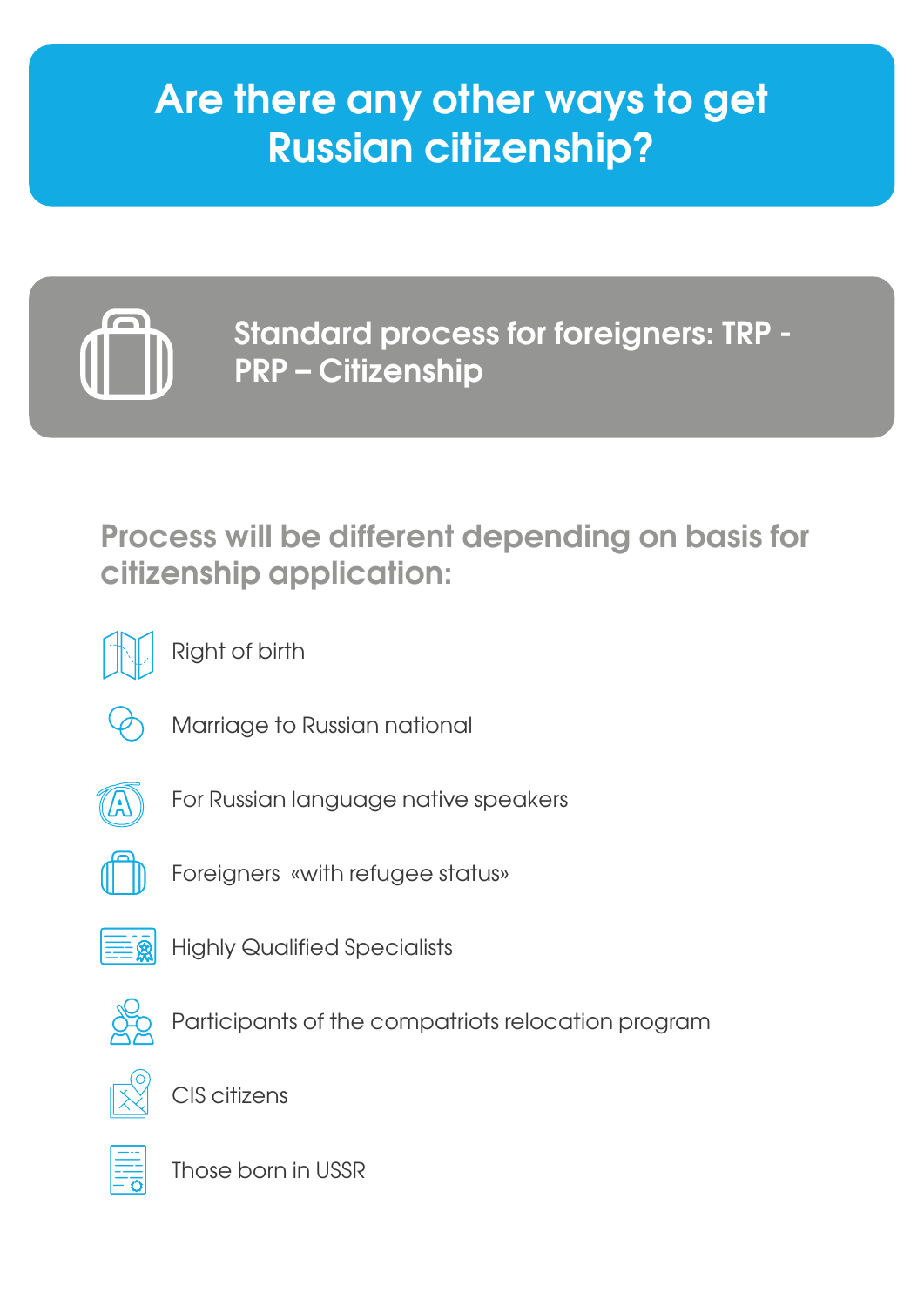# **Are there any other ways to get Russian citizenship?**



**Standard process for foreigners: TRP - PRP – Citizenship** 

**Process will be different depending on basis for citizenship application:**



Right of birth



Marriage to Russian national



For Russian language native speakers



Foreigners «with refugee status»



Highly Qualified Specialists



Participants of the compatriots relocation program



CIS citizens



Those born in USSR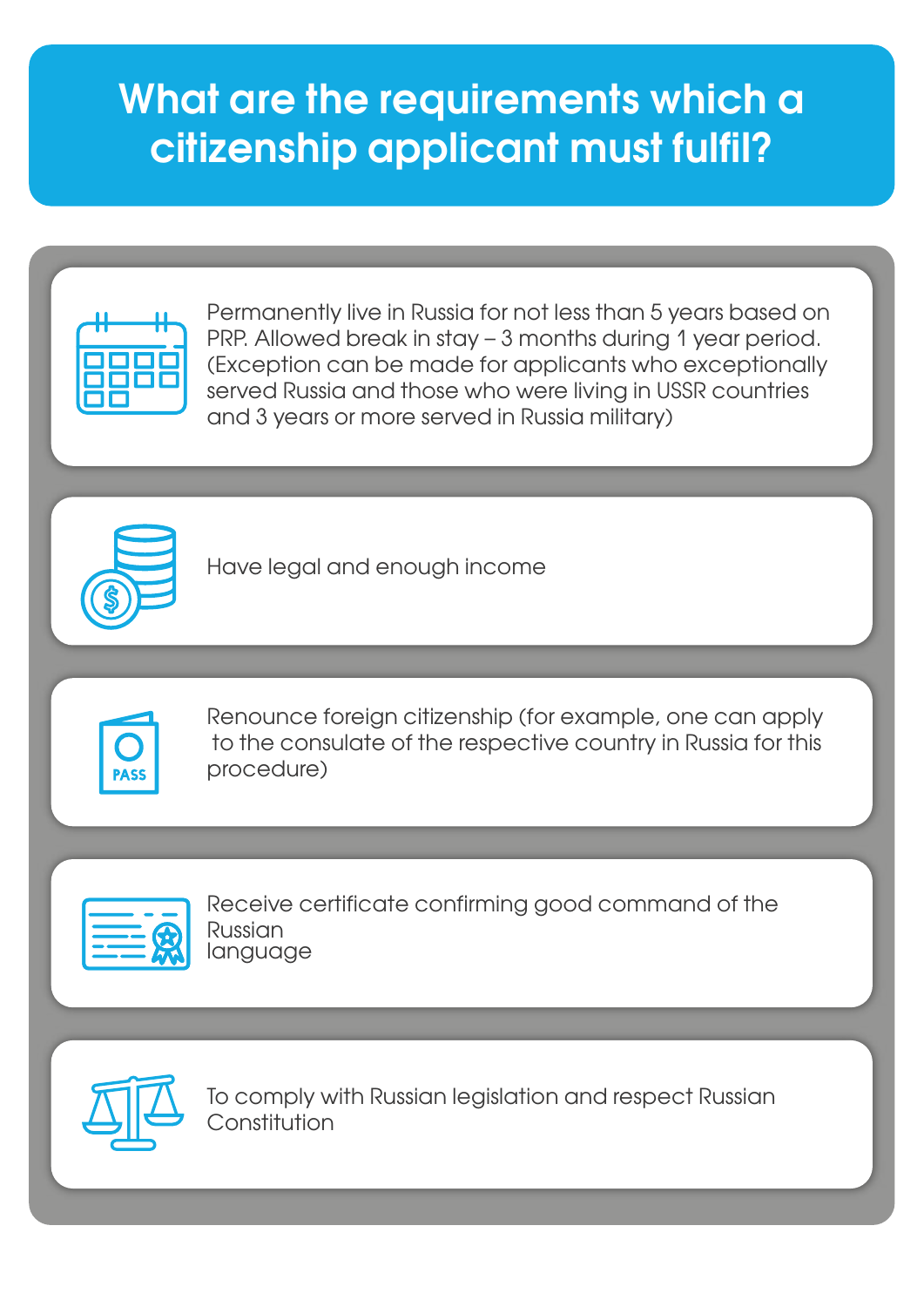# **What are the requirements which a citizenship applicant must fulfil?**



Permanently live in Russia for not less than 5 years based on PRP. Allowed break in stay – 3 months during 1 year period. (Exception can be made for applicants who exceptionally served Russia and those who were living in USSR countries and 3 years or more served in Russia military)



Have legal and enough income



Renounce foreign citizenship (for example, one can apply to the consulate of the respective country in Russia for this procedure)



Receive certificate confirming good command of the Russian language



To comply with Russian legislation and respect Russian Constitution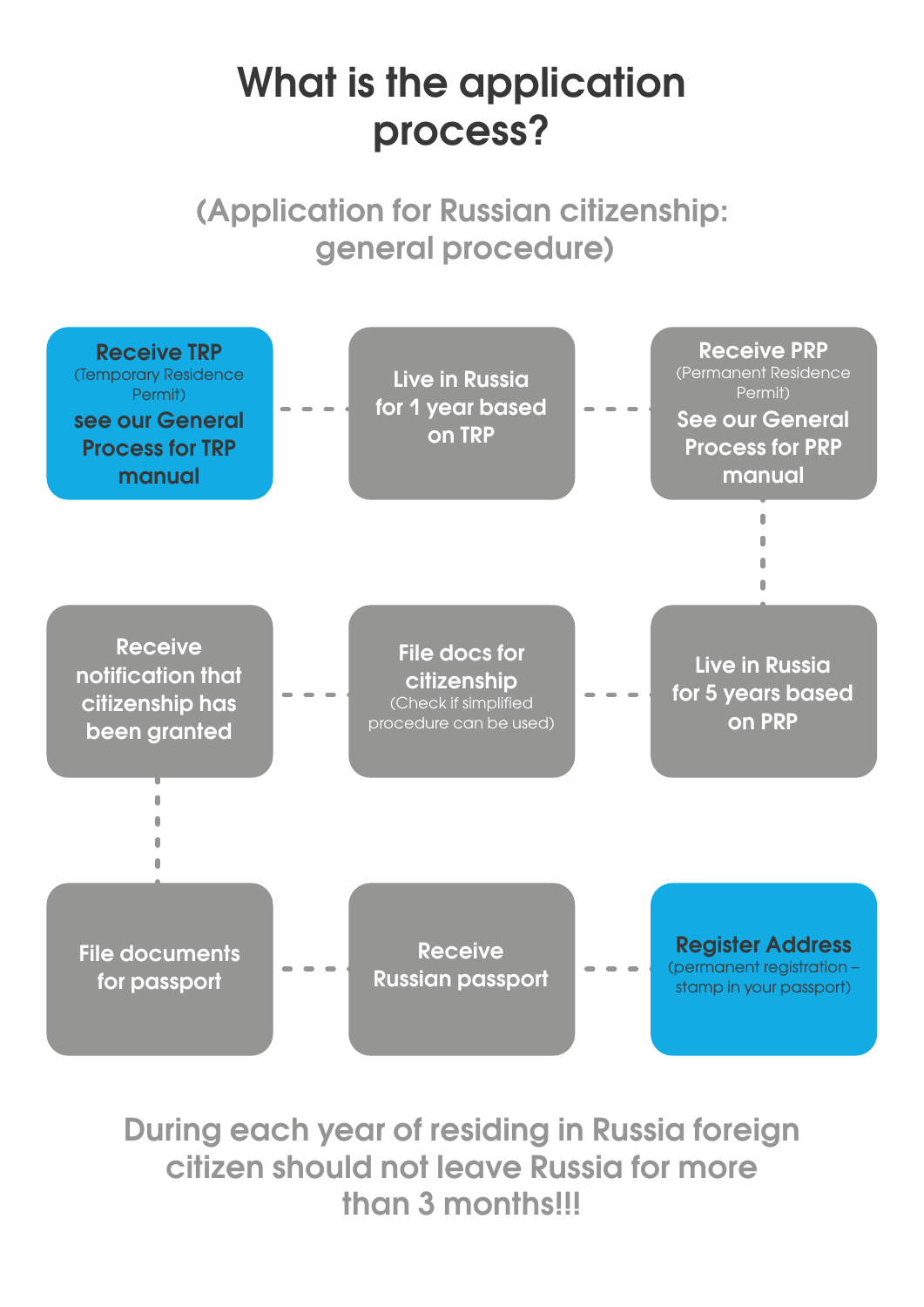# **What is the application process?**

**(Application for Russian citizenship: general procedure)**



**During each year of residing in Russia foreign citizen should not leave Russia for more than 3 months!!!**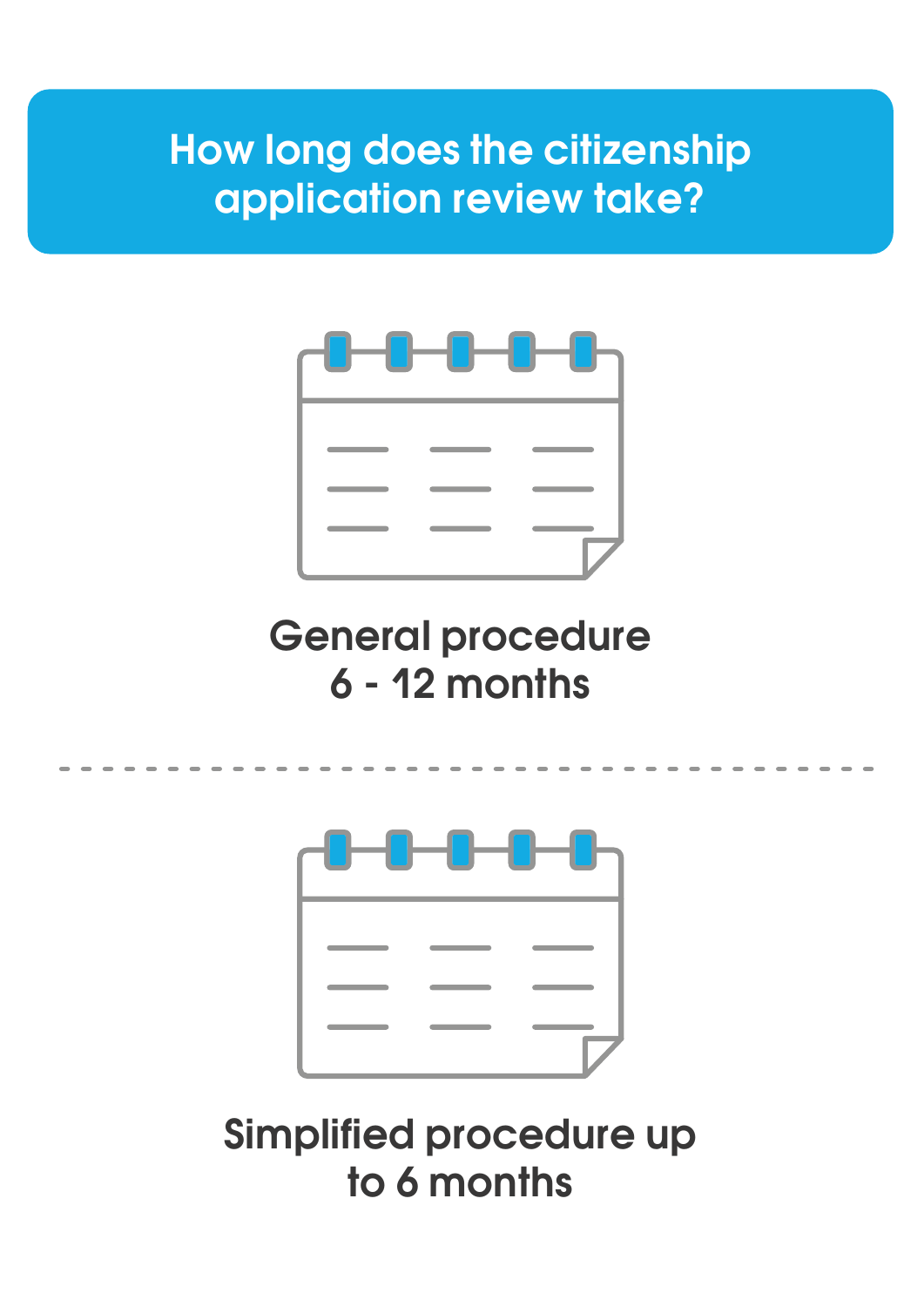# **How long does the citizenship application review take?**



# **General procedure 6 - 12 months**



# **Simplified procedure up to 6 months**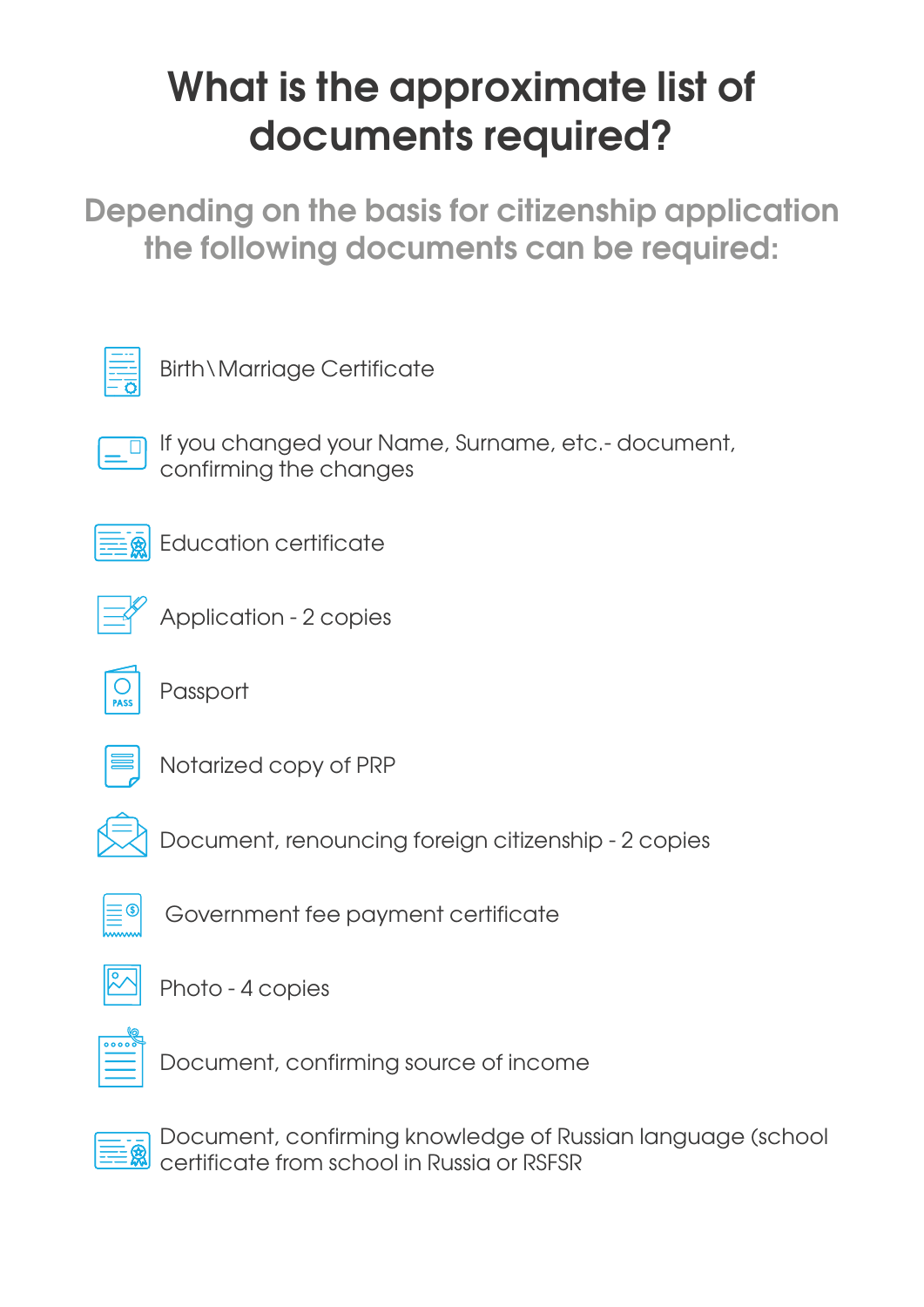# **What is the approximate list of documents required?**

**Depending on the basis for citizenship application the following documents can be required:**



Birth\Marriage Certificate

If you changed your Name, Surname, etc.- document, confirming the changes



Education certificate



Application - 2 copies



Passport



Notarized copy of PRP



Document, renouncing foreign citizenship - 2 copies



Government fee payment certificate



Photo - 4 copies



Document, confirming source of income



Document, confirming knowledge of Russian language (school certificate from school in Russia or RSFSR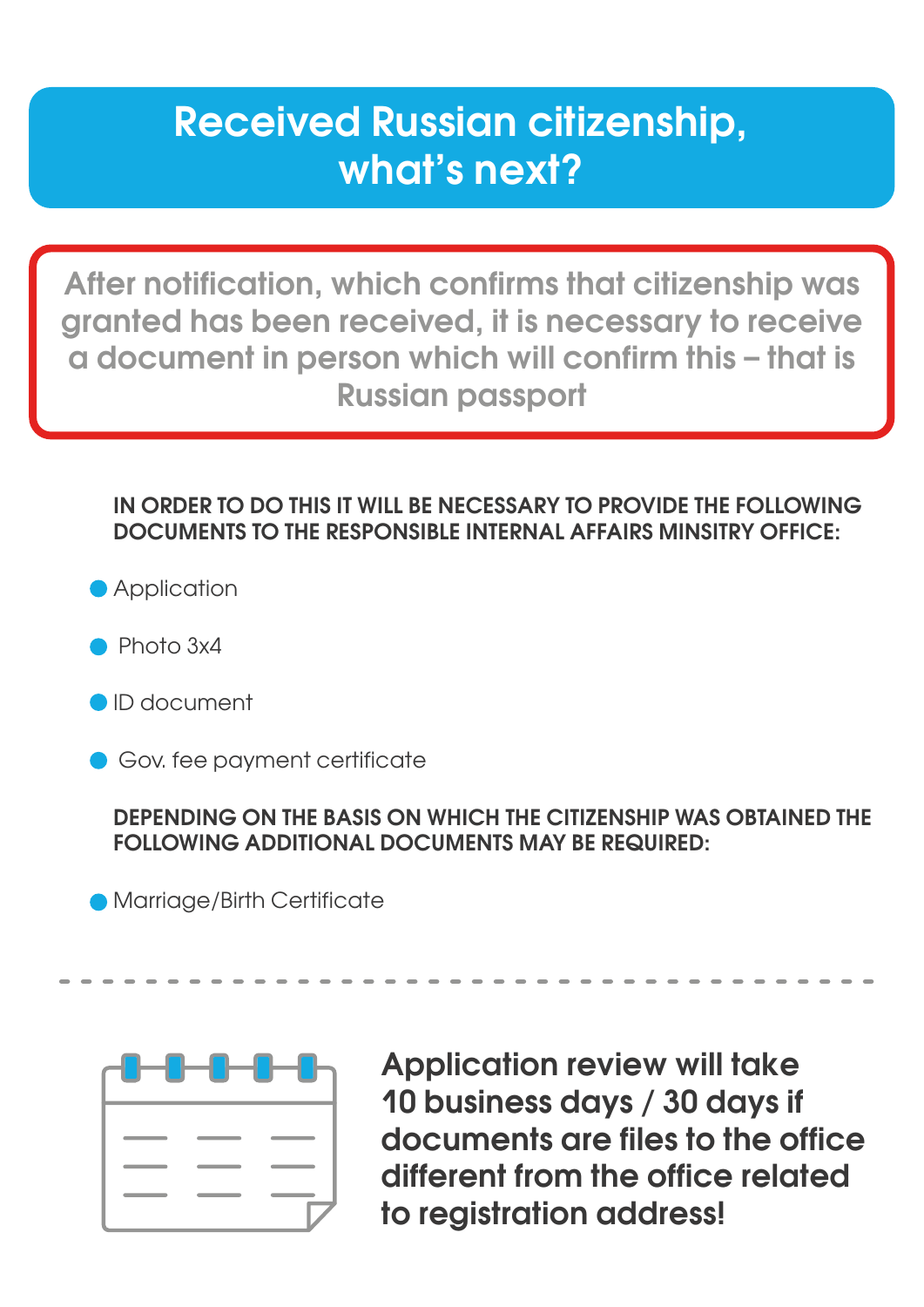## **Received Russian citizenship, what's next?**

**After notification, which confirms that citizenship was granted has been received, it is necessary to receive a document in person which will confirm this – that is Russian passport** 

### **IN ORDER TO DO THIS IT WILL BE NECESSARY TO PROVIDE THE FOLLOWING DOCUMENTS TO THE RESPONSIBLE INTERNAL AFFAIRS MINSITRY OFFICE:**

**Application** 

- Photo 3x4
- ID document
- Gov. fee payment certificate

### **DEPENDING ON THE BASIS ON WHICH THE CITIZENSHIP WAS OBTAINED THE FOLLOWING ADDITIONAL DOCUMENTS MAY BE REQUIRED:**

Marriage/Birth Certificate



**Application review will take 10 business days / 30 days if documents are files to the office different from the office related to registration address!**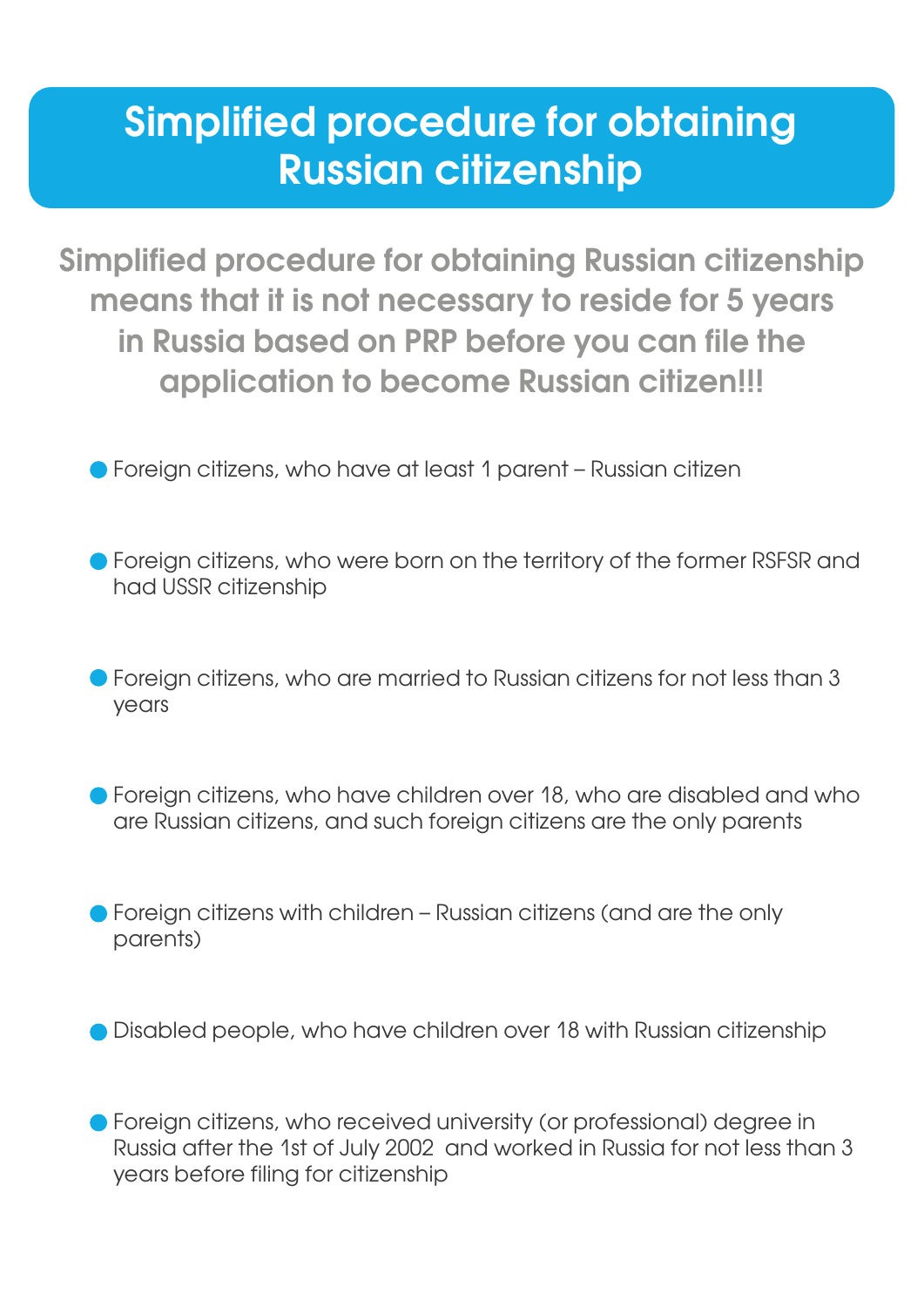# **Simplified procedure for obtaining Russian citizenship**

**Simplified procedure for obtaining Russian citizenship means that it is not necessary to reside for 5 years in Russia based on PRP before you can file the application to become Russian citizen!!!**

- Foreign citizens, who have at least 1 parent Russian citizen
- **•** Foreign citizens, who were born on the territory of the former RSFSR and had USSR citizenship
- Foreign citizens, who are married to Russian citizens for not less than 3 years
- Foreign citizens, who have children over 18, who are disabled and who are Russian citizens, and such foreign citizens are the only parents
- Foreign citizens with children Russian citizens (and are the only parents)
- Disabled people, who have children over 18 with Russian citizenship

Foreign citizens, who received university (or professional) degree in Russia after the 1st of July 2002 and worked in Russia for not less than 3 years before filing for citizenship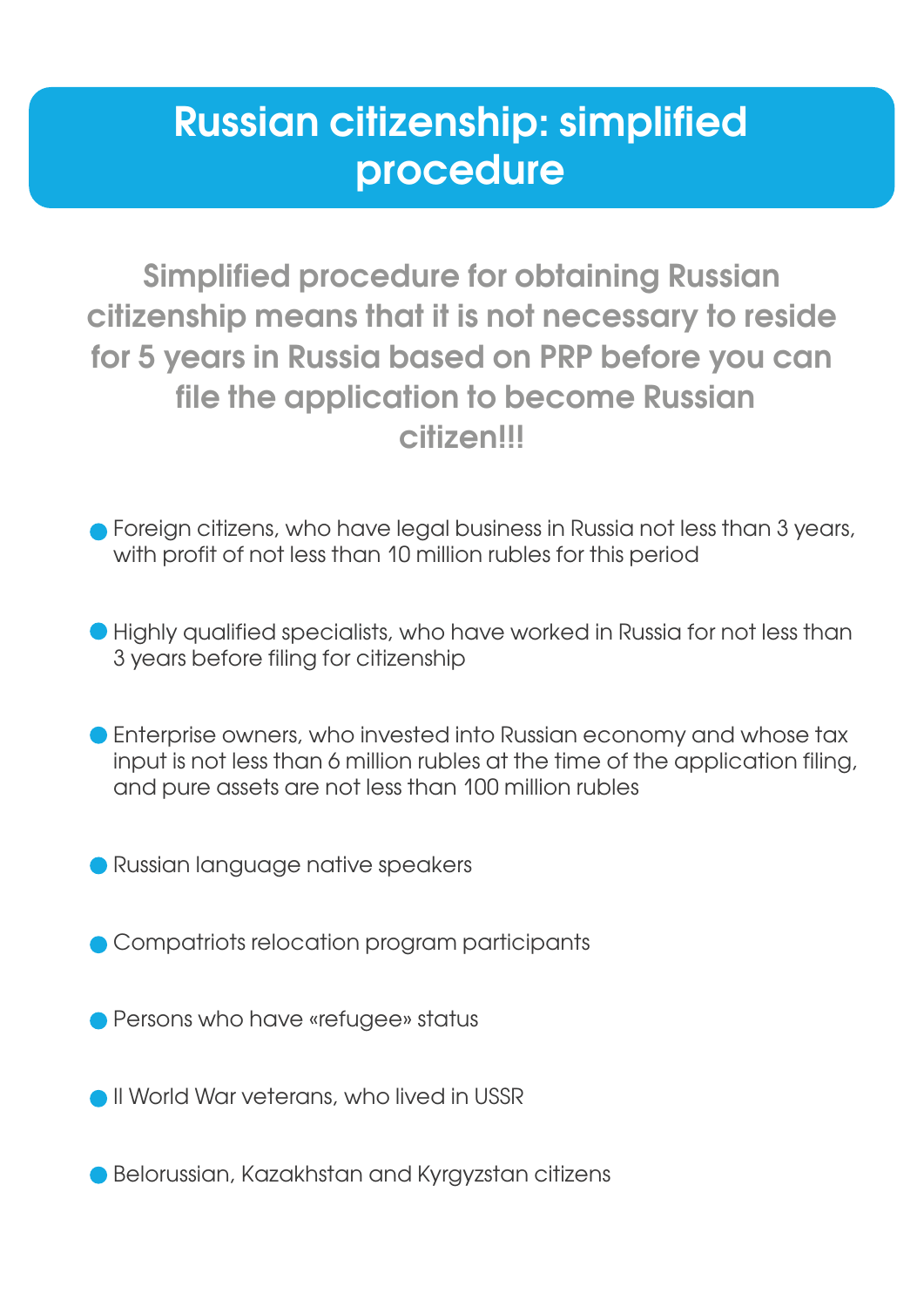## **Russian citizenship: simplified procedure**

**Simplified procedure for obtaining Russian citizenship means that it is not necessary to reside for 5 years in Russia based on PRP before you can file the application to become Russian citizen!!!**

- Foreign citizens, who have legal business in Russia not less than 3 years, with profit of not less than 10 million rubles for this period
- Highly qualified specialists, who have worked in Russia for not less than 3 years before filing for citizenship
- Enterprise owners, who invested into Russian economy and whose tax input is not less than 6 million rubles at the time of the application filing, and pure assets are not less than 100 million rubles
- Russian language native speakers
- Compatriots relocation program participants
- **Persons who have «refugee» status**
- II World War veterans, who lived in USSR
- Belorussian, Kazakhstan and Kyravzstan citizens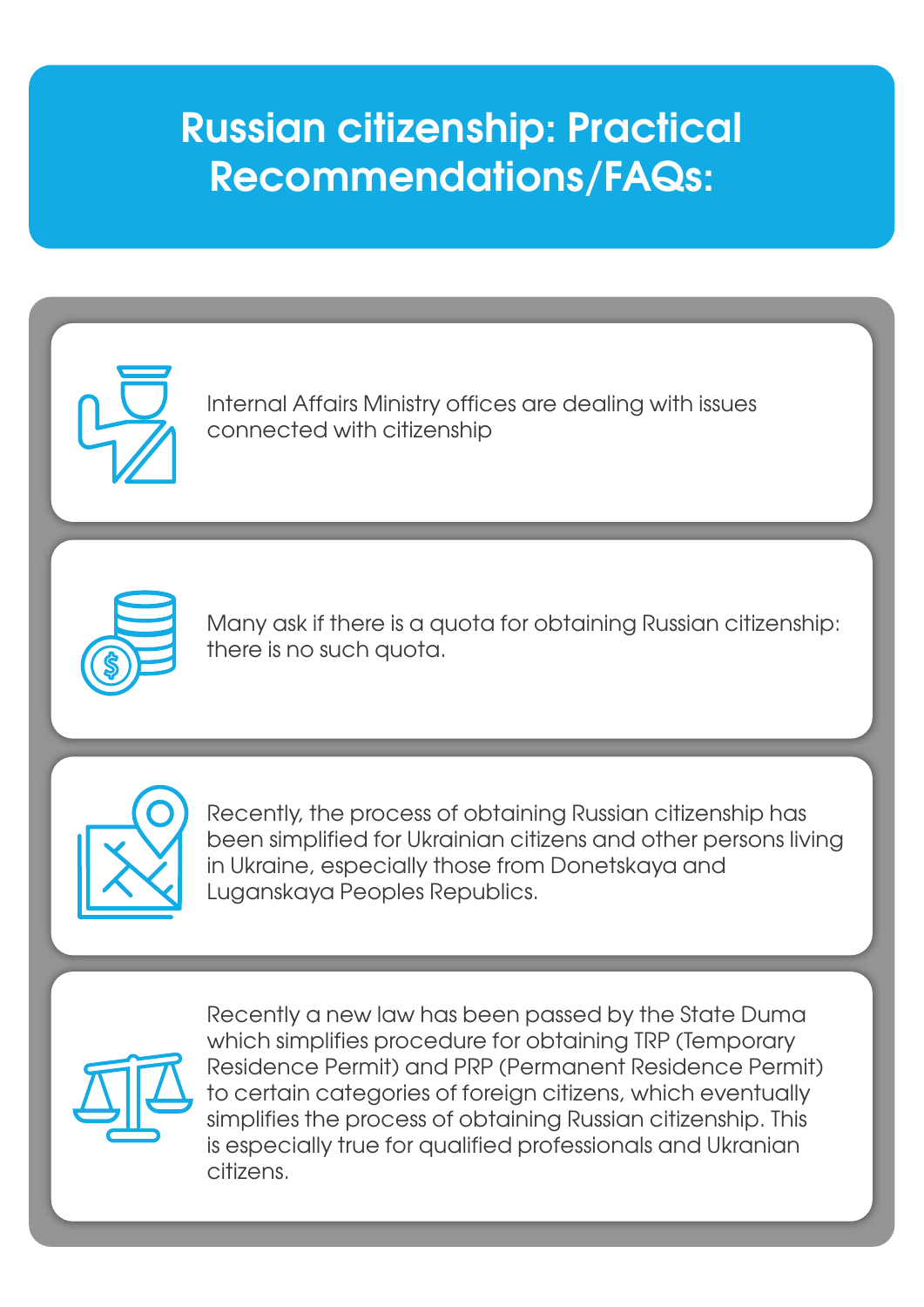# **Russian citizenship: Practical Recommendations/FAQs:**



Internal Affairs Ministry offices are dealing with issues connected with citizenship



Many ask if there is a quota for obtaining Russian citizenship: there is no such quota.



Recently, the process of obtaining Russian citizenship has been simplified for Ukrainian citizens and other persons living in Ukraine, especially those from Donetskaya and Luganskaya Peoples Republics.



Recently a new law has been passed by the State Duma which simplifies procedure for obtaining TRP (Temporary Residence Permit) and PRP (Permanent Residence Permit) to certain categories of foreign citizens, which eventually simplifies the process of obtaining Russian citizenship. This is especially true for qualified professionals and Ukranian citizens.